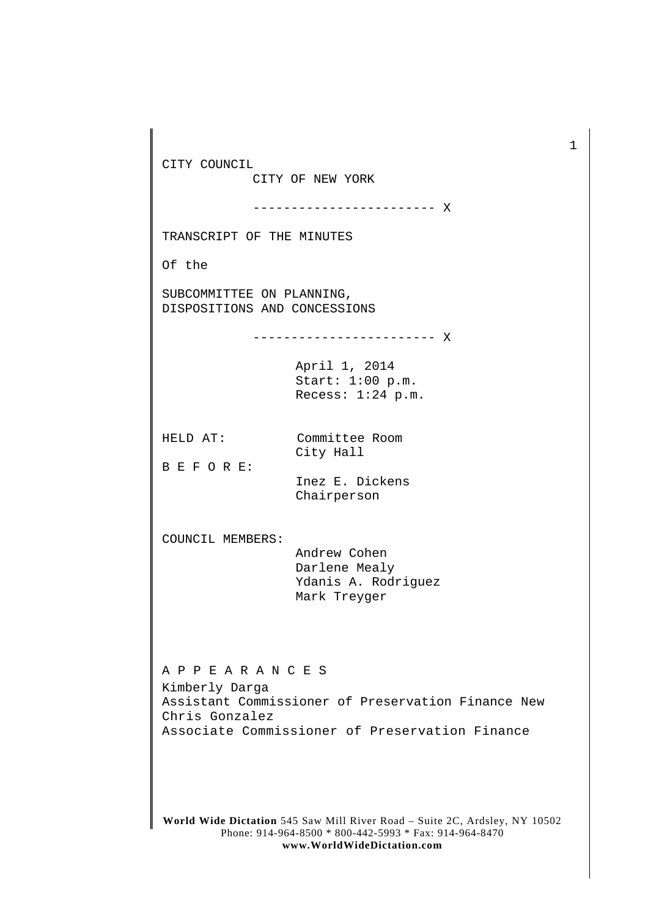**World Wide Dictation** 545 Saw Mill River Road – Suite 2C, Ardsley, NY 10502 Phone: 914-964-8500 \* 800-442-5993 \* Fax: 914-964-8470 **www.WorldWideDictation.com** CITY COUNCIL CITY OF NEW YORK ------------------------ X TRANSCRIPT OF THE MINUTES Of the SUBCOMMITTEE ON PLANNING, DISPOSITIONS AND CONCESSIONS ------------------------ X April 1, 2014 Start: 1:00 p.m. Recess: 1:24 p.m. HELD AT: Committee Room City Hall B E F O R E: Inez E. Dickens Chairperson COUNCIL MEMBERS: Andrew Cohen Darlene Mealy Ydanis A. Rodriguez Mark Treyger A P P E A R A N C E S Kimberly Darga Assistant Commissioner of Preservation Finance New Chris Gonzalez Associate Commissioner of Preservation Finance

1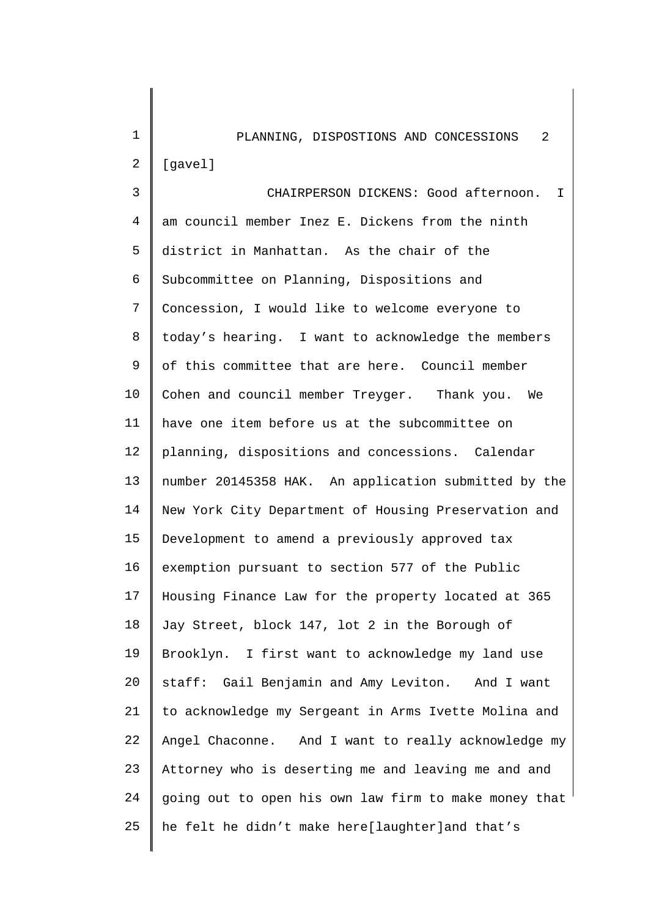| $\mathbf 1$    | -2<br>PLANNING, DISPOSTIONS AND CONCESSIONS           |
|----------------|-------------------------------------------------------|
| $\overline{2}$ | [gavel]                                               |
| 3              | CHAIRPERSON DICKENS: Good afternoon.<br>I.            |
| 4              | am council member Inez E. Dickens from the ninth      |
| 5              | district in Manhattan. As the chair of the            |
| б              | Subcommittee on Planning, Dispositions and            |
| 7              | Concession, I would like to welcome everyone to       |
| 8              | today's hearing. I want to acknowledge the members    |
| 9              | of this committee that are here. Council member       |
| 10             | Cohen and council member Treyger. Thank you. We       |
| 11             | have one item before us at the subcommittee on        |
| 12             | planning, dispositions and concessions. Calendar      |
| 13             | number 20145358 HAK. An application submitted by the  |
| 14             | New York City Department of Housing Preservation and  |
| 15             | Development to amend a previously approved tax        |
| 16             | exemption pursuant to section 577 of the Public       |
| 17             | Housing Finance Law for the property located at 365   |
| 18             | Jay Street, block 147, lot 2 in the Borough of        |
| 19             | Brooklyn. I first want to acknowledge my land use     |
| 20             | staff: Gail Benjamin and Amy Leviton. And I want      |
| 21             | to acknowledge my Sergeant in Arms Ivette Molina and  |
| 22             | Angel Chaconne. And I want to really acknowledge my   |
| 23             | Attorney who is deserting me and leaving me and and   |
| 24             | going out to open his own law firm to make money that |
| 25             | he felt he didn't make here[laughter]and that's       |
|                |                                                       |

 $\begin{array}{c} \hline \end{array}$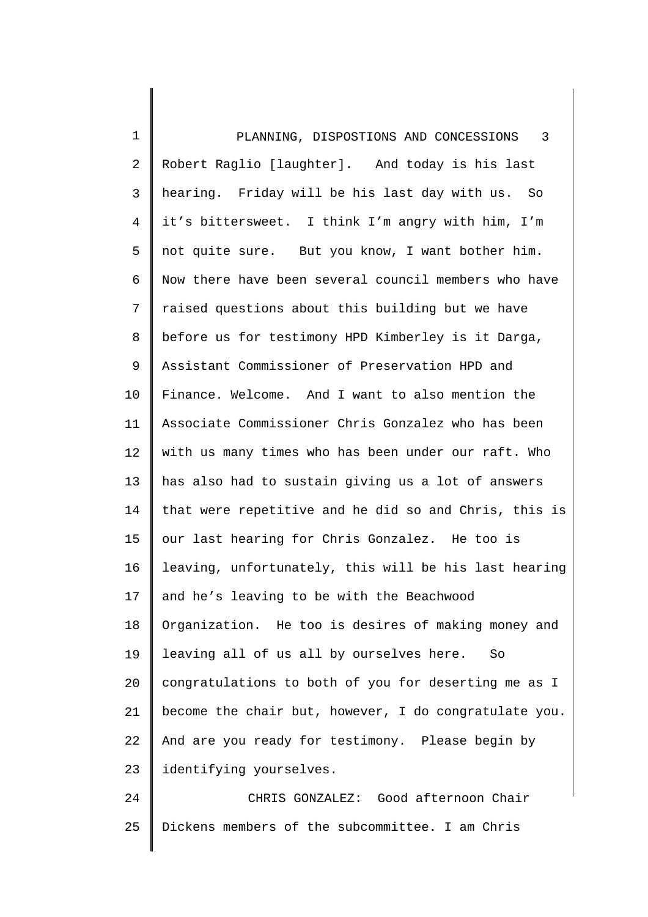1 2 3 4 5 6 7 8 9 10 11 12 13 14 15 16 17 18 19 20 21 22 23 PLANNING, DISPOSTIONS AND CONCESSIONS 3 Robert Raglio [laughter]. And today is his last hearing. Friday will be his last day with us. So it's bittersweet. I think I'm angry with him, I'm not quite sure. But you know, I want bother him. Now there have been several council members who have raised questions about this building but we have before us for testimony HPD Kimberley is it Darga, Assistant Commissioner of Preservation HPD and Finance. Welcome. And I want to also mention the Associate Commissioner Chris Gonzalez who has been with us many times who has been under our raft. Who has also had to sustain giving us a lot of answers that were repetitive and he did so and Chris, this is our last hearing for Chris Gonzalez. He too is leaving, unfortunately, this will be his last hearing and he's leaving to be with the Beachwood Organization. He too is desires of making money and leaving all of us all by ourselves here. So congratulations to both of you for deserting me as I become the chair but, however, I do congratulate you. And are you ready for testimony. Please begin by identifying yourselves.

24 25 CHRIS GONZALEZ: Good afternoon Chair Dickens members of the subcommittee. I am Chris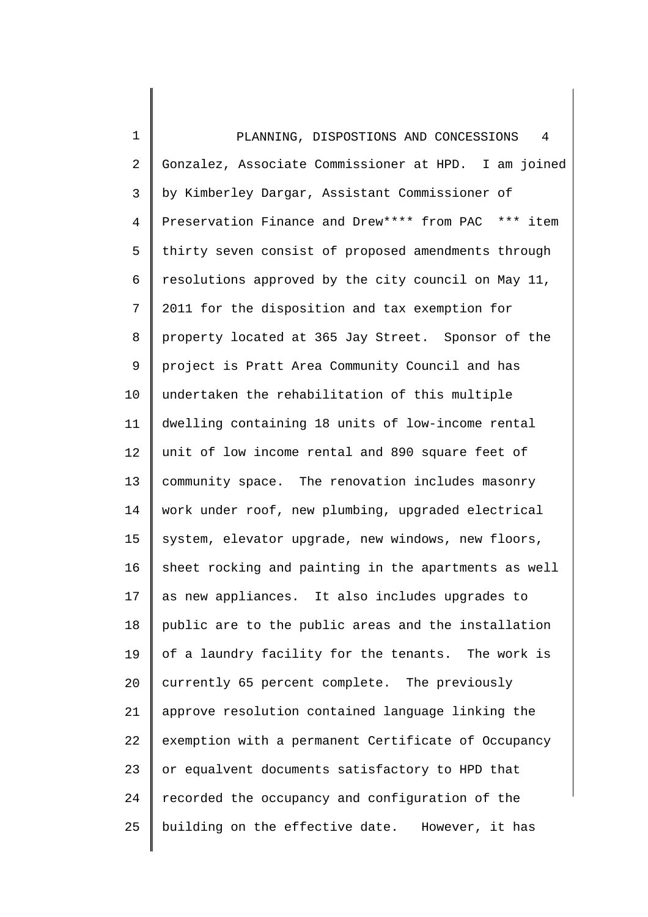1 2 3 4 5 6 7 8 9 10 11 12 13 14 15 16 17 18 19 20 21 22 23 24 25 PLANNING, DISPOSTIONS AND CONCESSIONS 4 Gonzalez, Associate Commissioner at HPD. I am joined by Kimberley Dargar, Assistant Commissioner of Preservation Finance and Drew\*\*\*\* from PAC \*\*\* item thirty seven consist of proposed amendments through resolutions approved by the city council on May 11, 2011 for the disposition and tax exemption for property located at 365 Jay Street. Sponsor of the project is Pratt Area Community Council and has undertaken the rehabilitation of this multiple dwelling containing 18 units of low-income rental unit of low income rental and 890 square feet of community space. The renovation includes masonry work under roof, new plumbing, upgraded electrical system, elevator upgrade, new windows, new floors, sheet rocking and painting in the apartments as well as new appliances. It also includes upgrades to public are to the public areas and the installation of a laundry facility for the tenants. The work is currently 65 percent complete. The previously approve resolution contained language linking the exemption with a permanent Certificate of Occupancy or equalvent documents satisfactory to HPD that recorded the occupancy and configuration of the building on the effective date. However, it has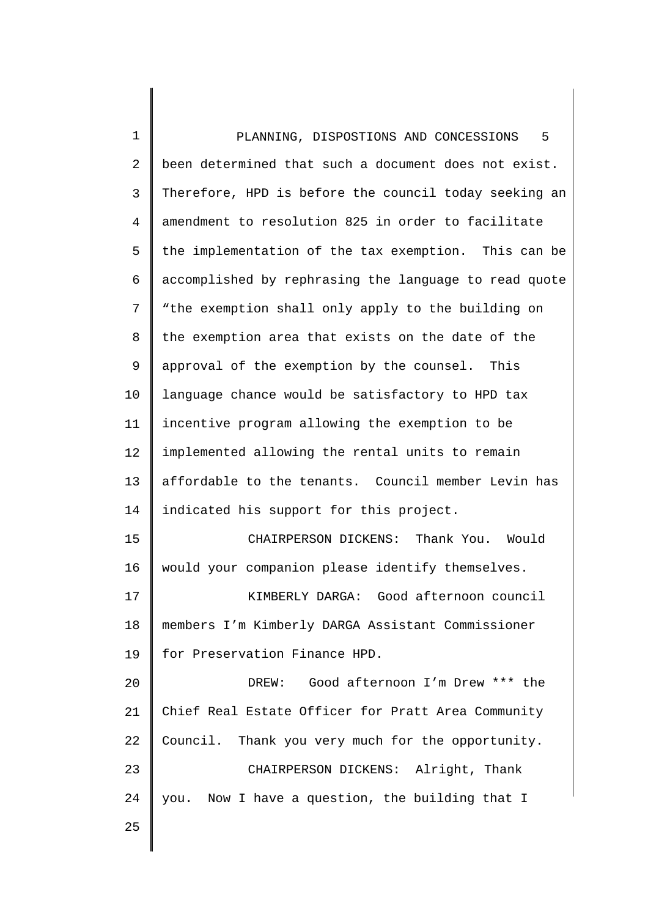1 2 3 4 5 6 7 8 9 10 11 12 13 14 15 16 17 18 19 20 21 22 23 24 25 PLANNING, DISPOSTIONS AND CONCESSIONS 5 been determined that such a document does not exist. Therefore, HPD is before the council today seeking an amendment to resolution 825 in order to facilitate the implementation of the tax exemption. This can be accomplished by rephrasing the language to read quote "the exemption shall only apply to the building on the exemption area that exists on the date of the approval of the exemption by the counsel. This language chance would be satisfactory to HPD tax incentive program allowing the exemption to be implemented allowing the rental units to remain affordable to the tenants. Council member Levin has indicated his support for this project. CHAIRPERSON DICKENS: Thank You. Would would your companion please identify themselves. KIMBERLY DARGA: Good afternoon council members I'm Kimberly DARGA Assistant Commissioner for Preservation Finance HPD. DREW: Good afternoon I'm Drew \*\*\* the Chief Real Estate Officer for Pratt Area Community Council. Thank you very much for the opportunity. CHAIRPERSON DICKENS: Alright, Thank you. Now I have a question, the building that I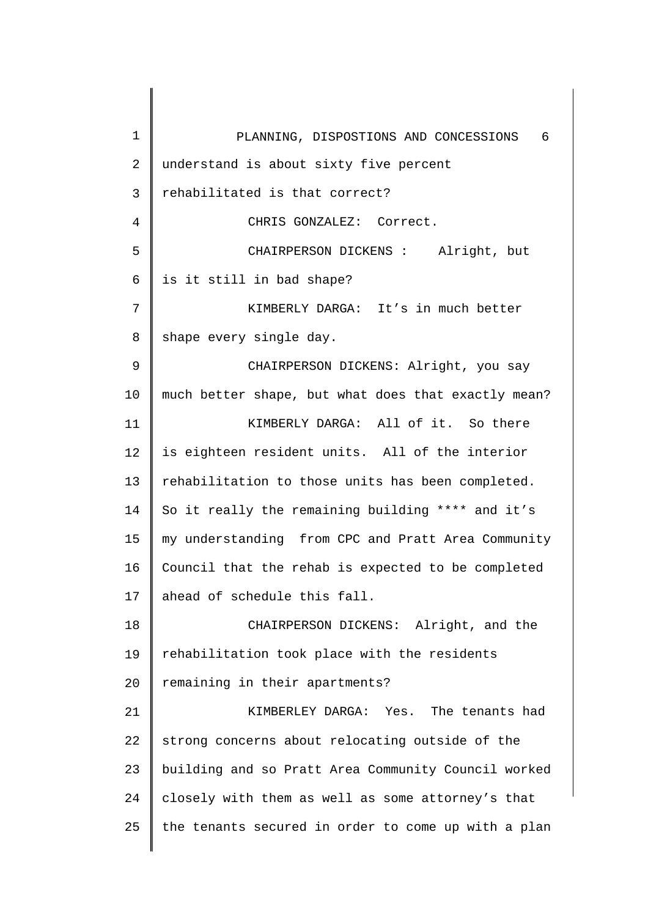| $\mathbf{1}$   | 6<br>PLANNING, DISPOSTIONS AND CONCESSIONS          |
|----------------|-----------------------------------------------------|
| $\overline{2}$ | understand is about sixty five percent              |
| 3              | rehabilitated is that correct?                      |
| $\overline{4}$ | CHRIS GONZALEZ: Correct.                            |
| 5              | CHAIRPERSON DICKENS : Alright, but                  |
| 6              | is it still in bad shape?                           |
| 7              | KIMBERLY DARGA: It's in much better                 |
| $8\,$          | shape every single day.                             |
| 9              | CHAIRPERSON DICKENS: Alright, you say               |
| 10             | much better shape, but what does that exactly mean? |
| 11             | KIMBERLY DARGA: All of it. So there                 |
| 12             | is eighteen resident units. All of the interior     |
| 13             | rehabilitation to those units has been completed.   |
| 14             | So it really the remaining building **** and it's   |
| 15             | my understanding from CPC and Pratt Area Community  |
| 16             | Council that the rehab is expected to be completed  |
| 17             | ahead of schedule this fall.                        |
| 18             | CHAIRPERSON DICKENS: Alright, and the               |
| 19             | rehabilitation took place with the residents        |
| 20             | remaining in their apartments?                      |
| 21             | KIMBERLEY DARGA: Yes. The tenants had               |
| 22             | strong concerns about relocating outside of the     |
| 23             | building and so Pratt Area Community Council worked |
| 24             | closely with them as well as some attorney's that   |
| 25             | the tenants secured in order to come up with a plan |
|                |                                                     |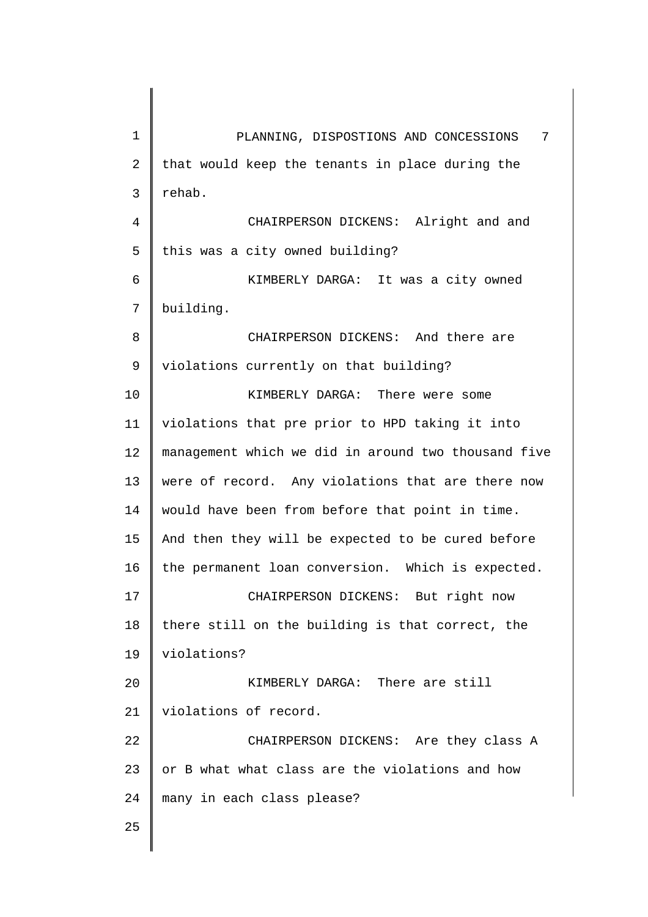| $\mathbf 1$    | PLANNING, DISPOSTIONS AND CONCESSIONS<br>7          |
|----------------|-----------------------------------------------------|
| $\overline{2}$ | that would keep the tenants in place during the     |
| $\mathsf{3}$   | rehab.                                              |
| $\overline{4}$ | CHAIRPERSON DICKENS: Alright and and                |
| 5              | this was a city owned building?                     |
| 6              | KIMBERLY DARGA: It was a city owned                 |
| 7              | building.                                           |
| 8              | CHAIRPERSON DICKENS: And there are                  |
| $\mathsf 9$    | violations currently on that building?              |
| 10             | KIMBERLY DARGA: There were some                     |
| 11             | violations that pre prior to HPD taking it into     |
| 12             | management which we did in around two thousand five |
| 13             | were of record. Any violations that are there now   |
| 14             | would have been from before that point in time.     |
| 15             | And then they will be expected to be cured before   |
| 16             | the permanent loan conversion. Which is expected.   |
| 17             | CHAIRPERSON DICKENS: But right now                  |
| 18             | there still on the building is that correct, the    |
| 19             | violations?                                         |
| 20             | KIMBERLY DARGA: There are still                     |
| 21             | violations of record.                               |
| 22             | CHAIRPERSON DICKENS: Are they class A               |
| 23             | or B what what class are the violations and how     |
| 24             | many in each class please?                          |
| 25             |                                                     |
|                |                                                     |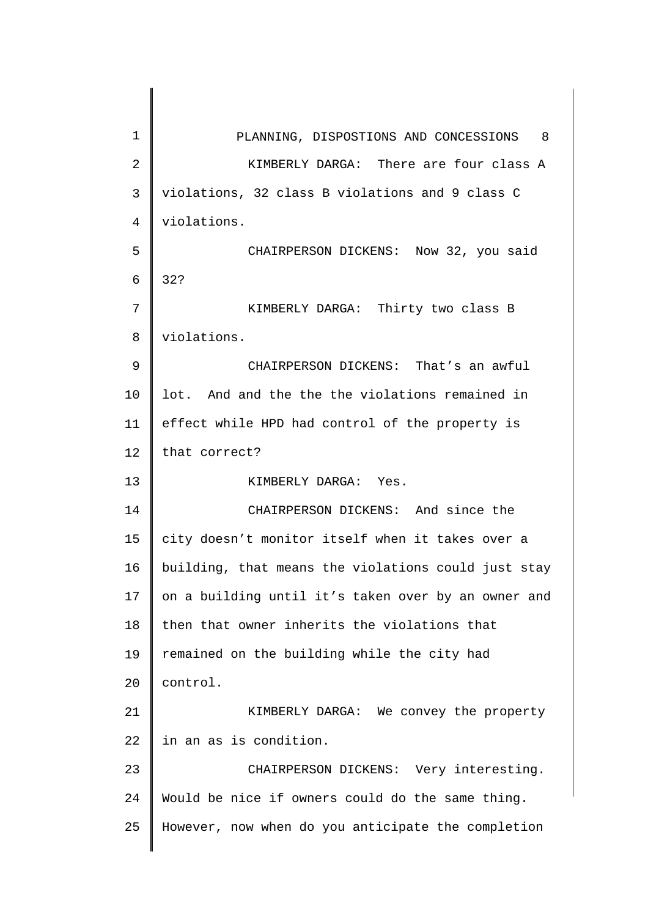| $\mathbf 1$    | PLANNING, DISPOSTIONS AND CONCESSIONS 8             |
|----------------|-----------------------------------------------------|
| $\overline{2}$ | KIMBERLY DARGA: There are four class A              |
| $\mathbf{3}$   | violations, 32 class B violations and 9 class C     |
| $\overline{4}$ | violations.                                         |
| 5              | CHAIRPERSON DICKENS: Now 32, you said               |
| 6              | 32?                                                 |
| 7              | KIMBERLY DARGA: Thirty two class B                  |
| 8              | violations.                                         |
| 9              | CHAIRPERSON DICKENS: That's an awful                |
| 10             | lot. And and the the the violations remained in     |
| 11             | effect while HPD had control of the property is     |
| 12             | that correct?                                       |
| 13             | KIMBERLY DARGA: Yes.                                |
| 14             | CHAIRPERSON DICKENS: And since the                  |
| 15             | city doesn't monitor itself when it takes over a    |
| 16             | building, that means the violations could just stay |
| 17             | on a building until it's taken over by an owner and |
| 18             | then that owner inherits the violations that        |
| 19             | remained on the building while the city had         |
| 20             | control.                                            |
| 21             | KIMBERLY DARGA: We convey the property              |
| 22             | in an as is condition.                              |
| 23             | CHAIRPERSON DICKENS: Very interesting.              |
| 24             | Would be nice if owners could do the same thing.    |
| 25             | However, now when do you anticipate the completion  |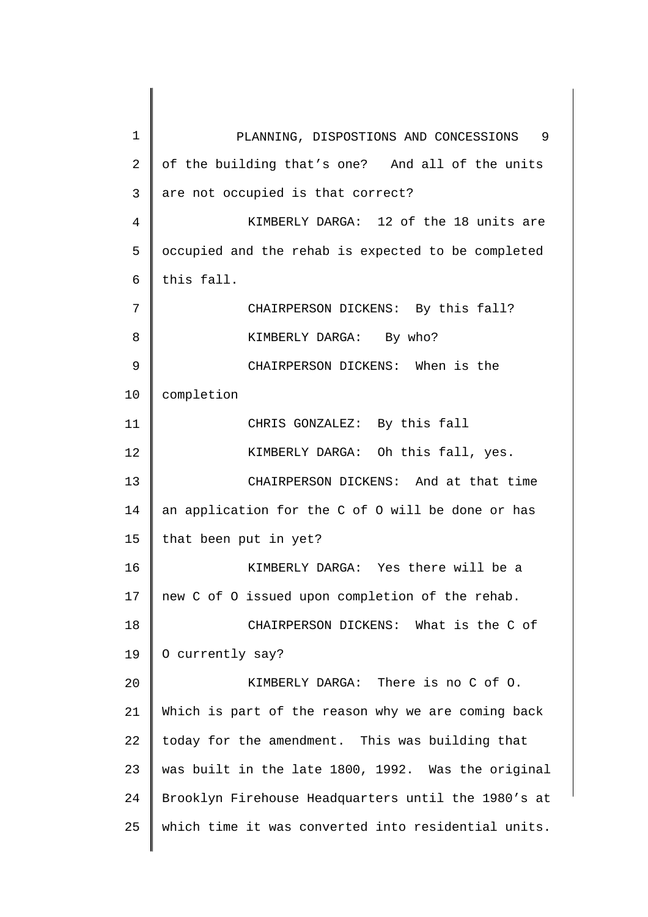| $\mathbf{1}$   | PLANNING, DISPOSTIONS AND CONCESSIONS 9             |
|----------------|-----------------------------------------------------|
| $\overline{a}$ | of the building that's one? And all of the units    |
| 3              | are not occupied is that correct?                   |
| 4              | KIMBERLY DARGA: 12 of the 18 units are              |
| 5              | occupied and the rehab is expected to be completed  |
| 6              | this fall.                                          |
| 7              | CHAIRPERSON DICKENS: By this fall?                  |
| 8              | KIMBERLY DARGA: By who?                             |
| 9              | CHAIRPERSON DICKENS: When is the                    |
| 10             | completion                                          |
| 11             | CHRIS GONZALEZ: By this fall                        |
| 12             | KIMBERLY DARGA: Oh this fall, yes.                  |
| 13             | CHAIRPERSON DICKENS: And at that time               |
| 14             | an application for the C of O will be done or has   |
| 15             | that been put in yet?                               |
| 16             | KIMBERLY DARGA: Yes there will be a                 |
| 17             | new C of O issued upon completion of the rehab.     |
| 18             | CHAIRPERSON DICKENS: What is the C of               |
| 19             | O currently say?                                    |
| 20             | KIMBERLY DARGA: There is no C of 0.                 |
| 21             | Which is part of the reason why we are coming back  |
| 22             | today for the amendment. This was building that     |
| 23             | was built in the late 1800, 1992. Was the original  |
| 24             | Brooklyn Firehouse Headquarters until the 1980's at |
| 25             | which time it was converted into residential units. |
|                |                                                     |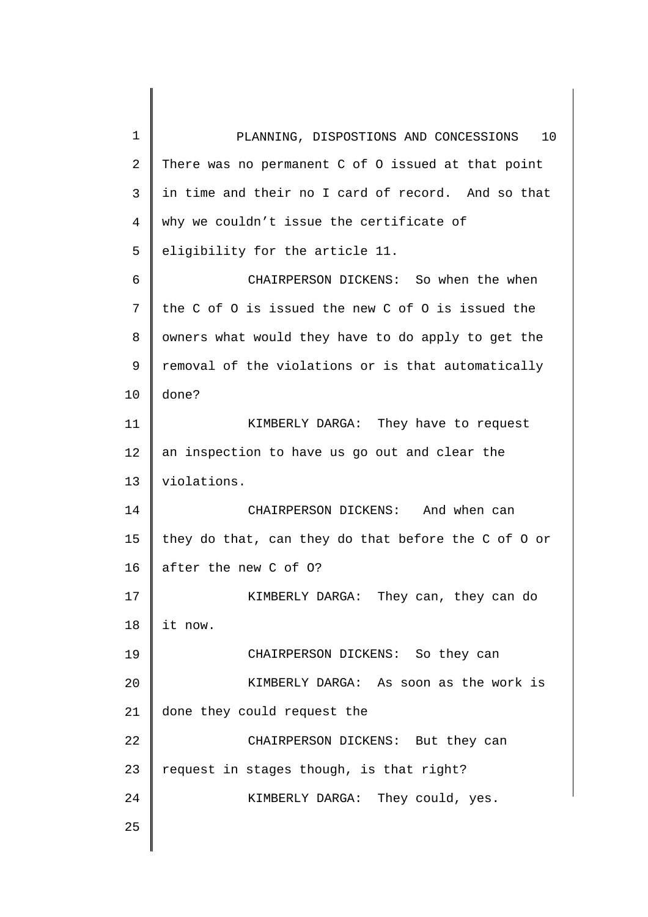1 2 3 4 5 6 7 8 9 10 11 12 13 14 15 16 17 18 19 20 21 22 23 24 25 PLANNING, DISPOSTIONS AND CONCESSIONS 10 There was no permanent C of O issued at that point in time and their no I card of record. And so that why we couldn't issue the certificate of eligibility for the article 11. CHAIRPERSON DICKENS: So when the when the C of O is issued the new C of O is issued the owners what would they have to do apply to get the removal of the violations or is that automatically done? KIMBERLY DARGA: They have to request an inspection to have us go out and clear the violations. CHAIRPERSON DICKENS: And when can they do that, can they do that before the C of O or after the new C of O? KIMBERLY DARGA: They can, they can do it now. CHAIRPERSON DICKENS: So they can KIMBERLY DARGA: As soon as the work is done they could request the CHAIRPERSON DICKENS: But they can request in stages though, is that right? KIMBERLY DARGA: They could, yes.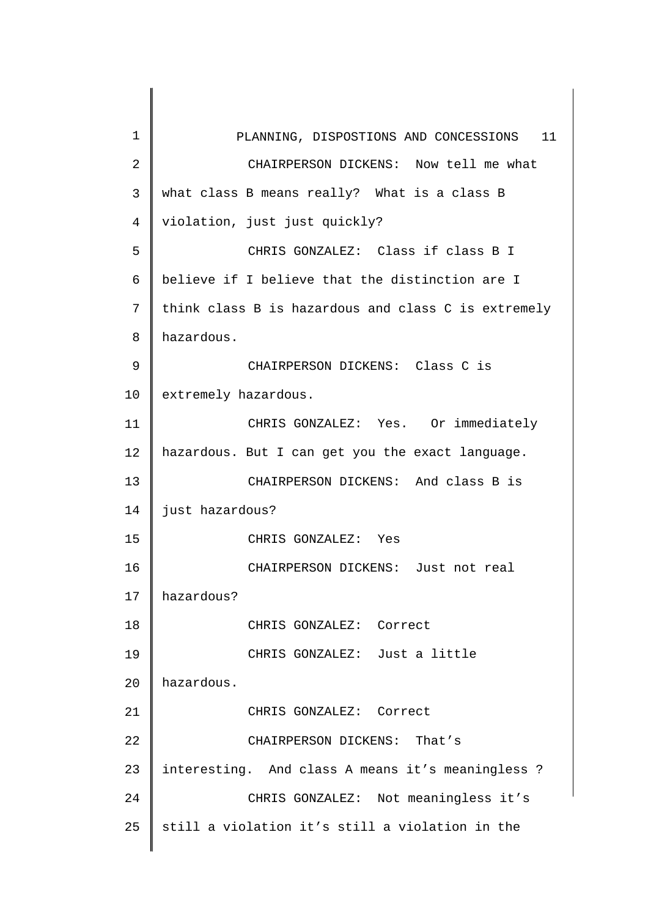| 1              | PLANNING, DISPOSTIONS AND CONCESSIONS 11            |
|----------------|-----------------------------------------------------|
| $\overline{2}$ | CHAIRPERSON DICKENS: Now tell me what               |
| 3              | what class B means really? What is a class B        |
| $\overline{4}$ | violation, just just quickly?                       |
| 5              | CHRIS GONZALEZ: Class if class B I                  |
| 6              | believe if I believe that the distinction are I     |
| 7              | think class B is hazardous and class C is extremely |
| 8              | hazardous.                                          |
| 9              | CHAIRPERSON DICKENS: Class C is                     |
| 10             | extremely hazardous.                                |
| 11             | CHRIS GONZALEZ: Yes. Or immediately                 |
| 12             | hazardous. But I can get you the exact language.    |
| 13             | CHAIRPERSON DICKENS: And class B is                 |
| 14             | just hazardous?                                     |
| 15             | CHRIS GONZALEZ: Yes                                 |
| 16             | CHAIRPERSON DICKENS:<br>Just not real               |
| 17             | hazardous?                                          |
| 18             | CHRIS GONZALEZ: Correct                             |
| 19             | CHRIS GONZALEZ: Just a little                       |
| 20             | hazardous.                                          |
| 21             | CHRIS GONZALEZ: Correct                             |
| 22             | CHAIRPERSON DICKENS: That's                         |
| 23             | interesting. And class A means it's meaningless ?   |
| 24             | CHRIS GONZALEZ: Not meaningless it's                |
| 25             | still a violation it's still a violation in the     |
|                |                                                     |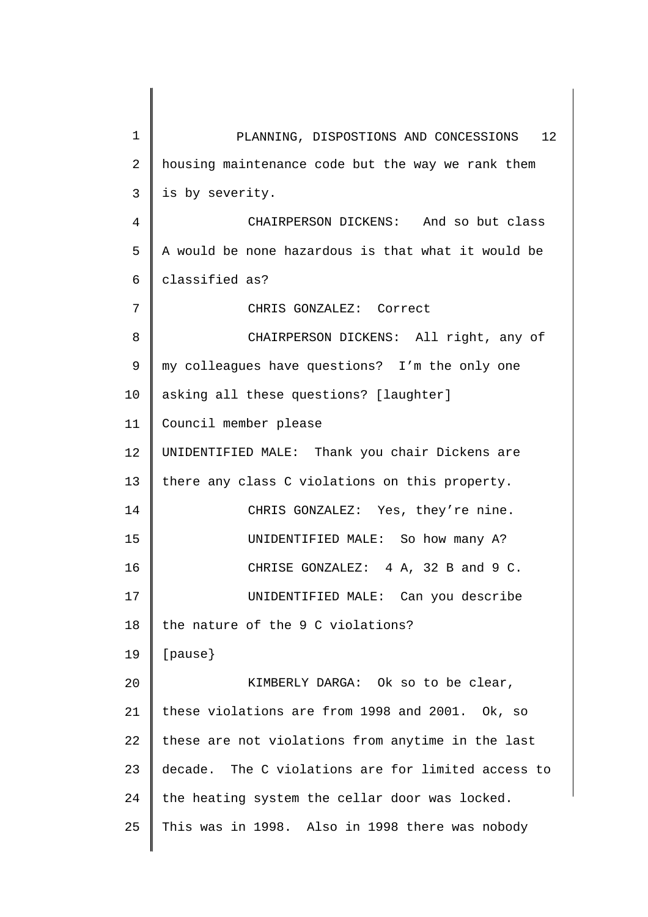| $\mathbf 1$    | 12 <sup>°</sup><br>PLANNING, DISPOSTIONS AND CONCESSIONS |
|----------------|----------------------------------------------------------|
| 2              | housing maintenance code but the way we rank them        |
| 3              | is by severity.                                          |
| $\overline{4}$ | CHAIRPERSON DICKENS: And so but class                    |
| 5              | A would be none hazardous is that what it would be       |
| 6              | classified as?                                           |
| 7              | CHRIS GONZALEZ: Correct                                  |
| 8              | CHAIRPERSON DICKENS: All right, any of                   |
| 9              | my colleagues have questions? I'm the only one           |
| 10             | asking all these questions? [laughter]                   |
| 11             | Council member please                                    |
| 12             | UNIDENTIFIED MALE: Thank you chair Dickens are           |
| 13             | there any class C violations on this property.           |
| 14             | CHRIS GONZALEZ: Yes, they're nine.                       |
| 15             | UNIDENTIFIED MALE: So how many A?                        |
| 16             | 4 A, 32 B and 9 C.<br>CHRISE GONZALEZ:                   |
| 17             | UNIDENTIFIED MALE: Can you describe                      |
| 18             | the nature of the 9 C violations?                        |
| 19             | [ <i>parse</i> ]                                         |
| 20             | KIMBERLY DARGA: Ok so to be clear,                       |
| 21             | these violations are from 1998 and 2001. Ok, so          |
| 22             | these are not violations from anytime in the last        |
| 23             | decade. The C violations are for limited access to       |
| 24             | the heating system the cellar door was locked.           |
| 25             | This was in 1998. Also in 1998 there was nobody          |
|                |                                                          |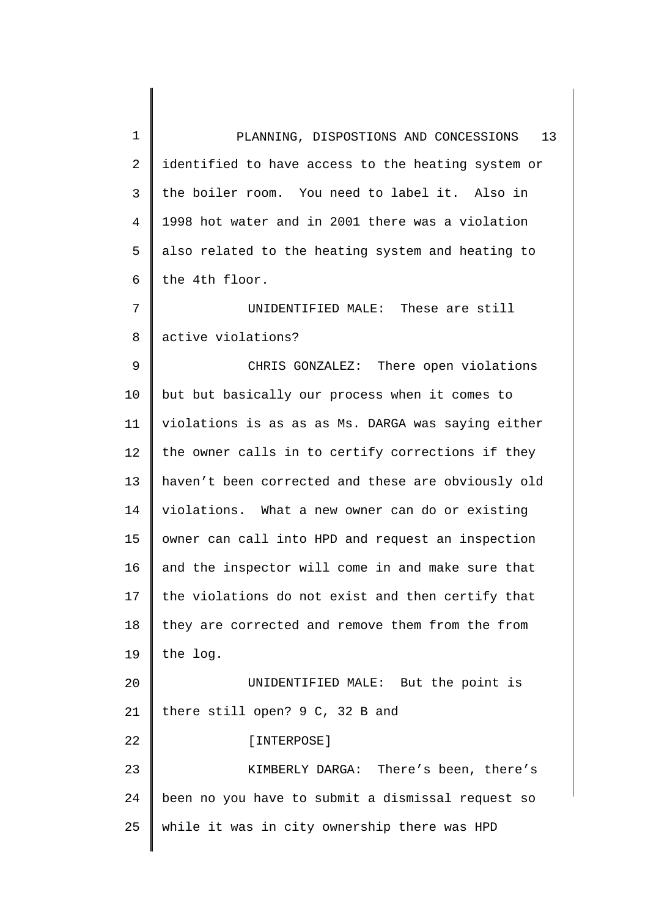1 2 3 4 5 6 7 8 9 10 11 12 13 14 15 16 17 18 19 20 21 22 23 24 25 PLANNING, DISPOSTIONS AND CONCESSIONS 13 identified to have access to the heating system or the boiler room. You need to label it. Also in 1998 hot water and in 2001 there was a violation also related to the heating system and heating to the 4th floor. UNIDENTIFIED MALE: These are still active violations? CHRIS GONZALEZ: There open violations but but basically our process when it comes to violations is as as as Ms. DARGA was saying either the owner calls in to certify corrections if they haven't been corrected and these are obviously old violations. What a new owner can do or existing owner can call into HPD and request an inspection and the inspector will come in and make sure that the violations do not exist and then certify that they are corrected and remove them from the from the log. UNIDENTIFIED MALE: But the point is there still open? 9 C, 32 B and [INTERPOSE] KIMBERLY DARGA: There's been, there's been no you have to submit a dismissal request so while it was in city ownership there was HPD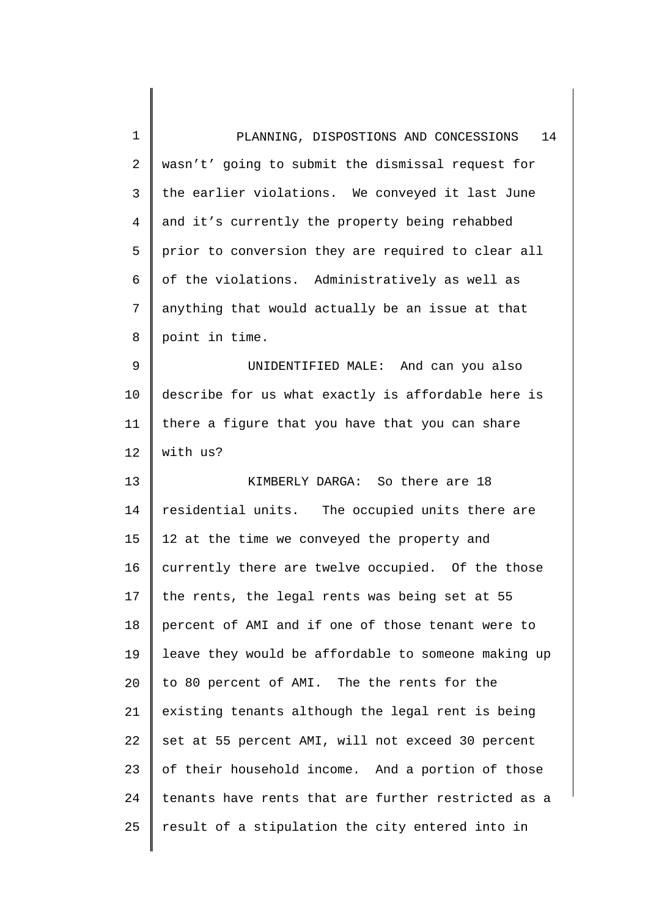| 1              | 14<br>PLANNING, DISPOSTIONS AND CONCESSIONS         |
|----------------|-----------------------------------------------------|
| $\overline{2}$ | wasn't' going to submit the dismissal request for   |
| 3              | the earlier violations. We conveyed it last June    |
| 4              | and it's currently the property being rehabbed      |
| 5              | prior to conversion they are required to clear all  |
| 6              | of the violations. Administratively as well as      |
| 7              | anything that would actually be an issue at that    |
| 8              | point in time.                                      |
| 9              | UNIDENTIFIED MALE: And can you also                 |
| 10             | describe for us what exactly is affordable here is  |
| 11             | there a figure that you have that you can share     |
| 12             | with us?                                            |
| 13             | KIMBERLY DARGA: So there are 18                     |
| 14             | residential units. The occupied units there are     |
| 15             | 12 at the time we conveyed the property and         |
| 16             | currently there are twelve occupied. Of the those   |
| 17             | the rents, the legal rents was being set at 55      |
| 18             | percent of AMI and if one of those tenant were to   |
| 19             | leave they would be affordable to someone making up |
| 20             | to 80 percent of AMI. The the rents for the         |
| 21             | existing tenants although the legal rent is being   |
| 22             | set at 55 percent AMI, will not exceed 30 percent   |
| 23             | of their household income. And a portion of those   |
| 24             | tenants have rents that are further restricted as a |
| 25             | result of a stipulation the city entered into in    |
|                |                                                     |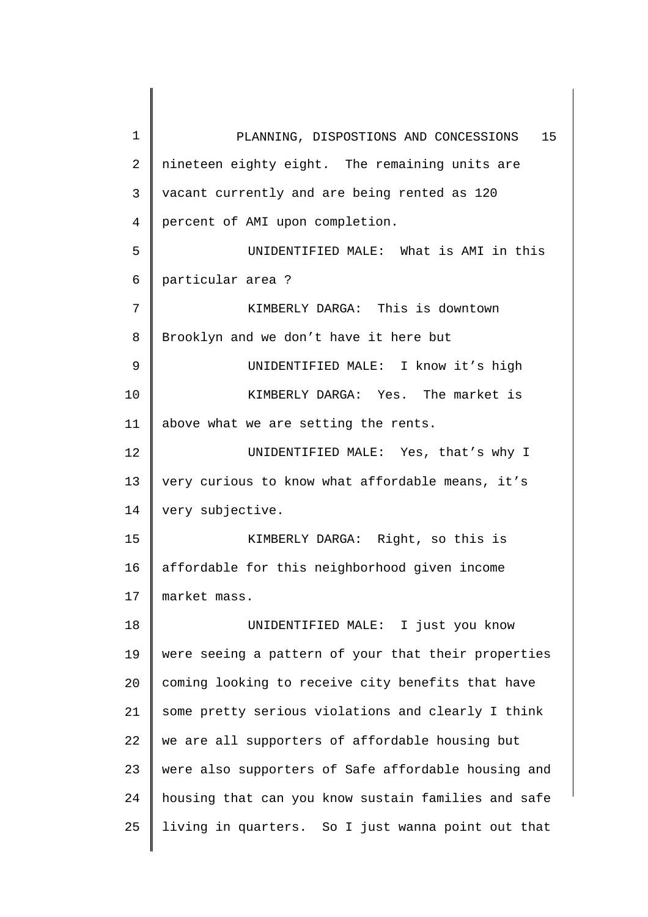1 2 3 4 5 6 7 8 9 10 11 12 13 14 15 16 17 18 19 20 21 22 23 24 25 PLANNING, DISPOSTIONS AND CONCESSIONS 15 nineteen eighty eight. The remaining units are vacant currently and are being rented as 120 percent of AMI upon completion. UNIDENTIFIED MALE: What is AMI in this particular area ? KIMBERLY DARGA: This is downtown Brooklyn and we don't have it here but UNIDENTIFIED MALE: I know it's high KIMBERLY DARGA: Yes. The market is above what we are setting the rents. UNIDENTIFIED MALE: Yes, that's why I very curious to know what affordable means, it's very subjective. KIMBERLY DARGA: Right, so this is affordable for this neighborhood given income market mass. UNIDENTIFIED MALE: I just you know were seeing a pattern of your that their properties coming looking to receive city benefits that have some pretty serious violations and clearly I think we are all supporters of affordable housing but were also supporters of Safe affordable housing and housing that can you know sustain families and safe living in quarters. So I just wanna point out that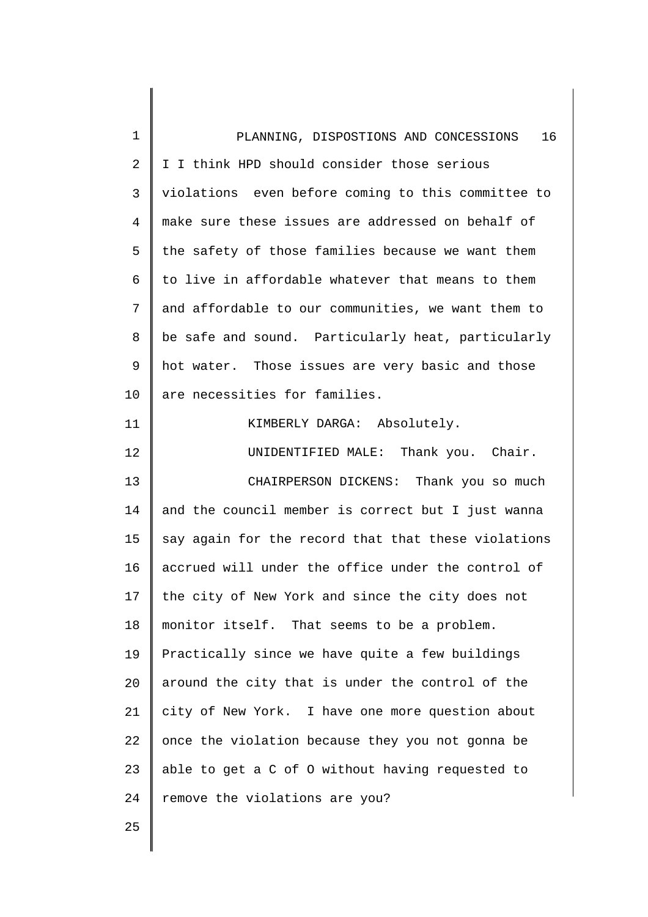| $\mathbf 1$ | 16<br>PLANNING, DISPOSTIONS AND CONCESSIONS         |
|-------------|-----------------------------------------------------|
| 2           | I I think HPD should consider those serious         |
| 3           | violations even before coming to this committee to  |
| 4           | make sure these issues are addressed on behalf of   |
| 5           | the safety of those families because we want them   |
| 6           | to live in affordable whatever that means to them   |
| 7           | and affordable to our communities, we want them to  |
| 8           | be safe and sound. Particularly heat, particularly  |
| 9           | hot water. Those issues are very basic and those    |
| 10          | are necessities for families.                       |
| 11          | KIMBERLY DARGA: Absolutely.                         |
| 12          | UNIDENTIFIED MALE: Thank you. Chair.                |
| 13          | CHAIRPERSON DICKENS: Thank you so much              |
| 14          | and the council member is correct but I just wanna  |
| 15          | say again for the record that that these violations |
| 16          | accrued will under the office under the control of  |
| 17          | the city of New York and since the city does not    |
| 18          | monitor itself. That seems to be a problem.         |
| 19          | Practically since we have quite a few buildings     |
| 20          | around the city that is under the control of the    |
| 21          | city of New York. I have one more question about    |
| 22          | once the violation because they you not gonna be    |
| 23          | able to get a C of O without having requested to    |
| 24          | remove the violations are you?                      |
| 25          |                                                     |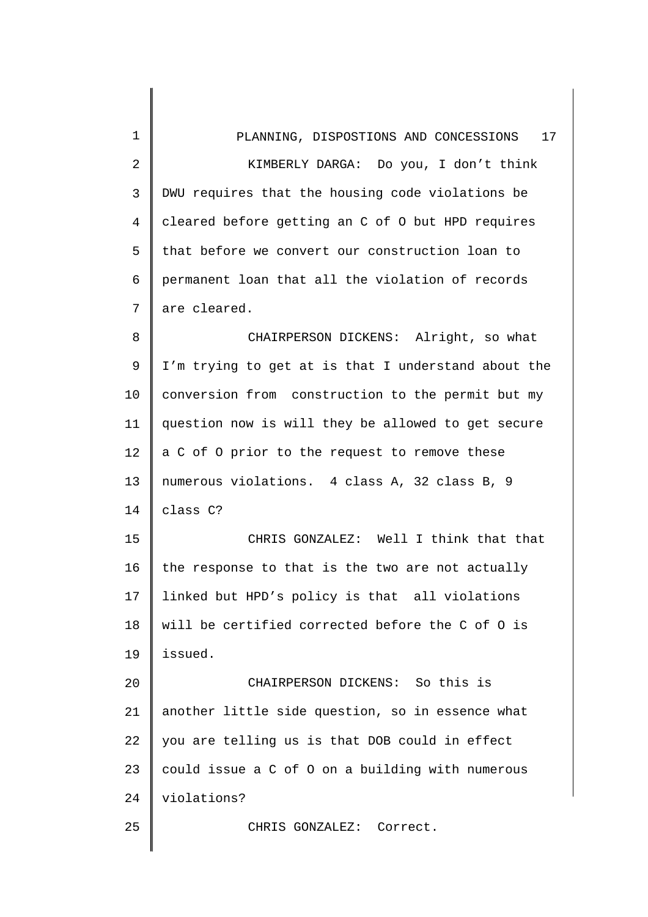| 1              | PLANNING, DISPOSTIONS AND CONCESSIONS 17            |
|----------------|-----------------------------------------------------|
| $\overline{2}$ | KIMBERLY DARGA: Do you, I don't think               |
| 3              | DWU requires that the housing code violations be    |
| $\overline{4}$ | cleared before getting an C of 0 but HPD requires   |
| 5              | that before we convert our construction loan to     |
| 6              | permanent loan that all the violation of records    |
| 7              | are cleared.                                        |
| 8              | CHAIRPERSON DICKENS: Alright, so what               |
| 9              | I'm trying to get at is that I understand about the |
| 10             | conversion from construction to the permit but my   |
| 11             | question now is will they be allowed to get secure  |
| 12             | a C of O prior to the request to remove these       |
| 13             | numerous violations. 4 class A, 32 class B, 9       |
| 14             | class C?                                            |
| 15             | CHRIS GONZALEZ: Well I think that that              |
| 16             | the response to that is the two are not actually    |
| 17             | linked but HPD's policy is that all violations      |
| 18             | will be certified corrected before the C of O is    |
| 19             | issued.                                             |
| 20             | CHAIRPERSON DICKENS: So this is                     |
| 21             | another little side question, so in essence what    |
| 22             | you are telling us is that DOB could in effect      |
| 23             | could issue a C of O on a building with numerous    |
| 24             | violations?                                         |
| 25             | CHRIS GONZALEZ: Correct.                            |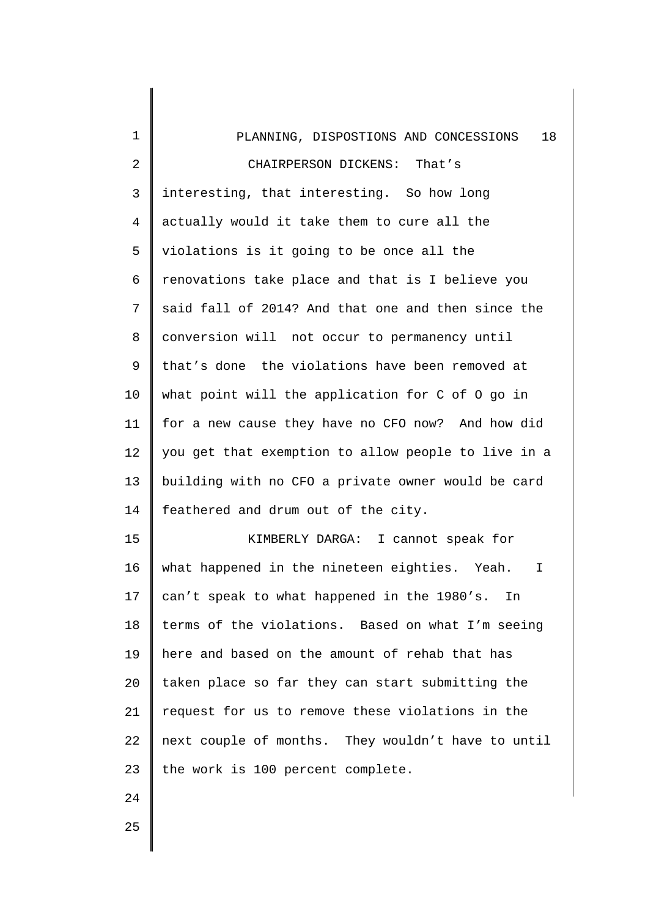| $\mathbf{1}$   | 18<br>PLANNING, DISPOSTIONS AND CONCESSIONS           |
|----------------|-------------------------------------------------------|
| $\overline{2}$ | CHAIRPERSON DICKENS:<br>That's                        |
| $\mathsf{3}$   | interesting, that interesting. So how long            |
| $\overline{4}$ | actually would it take them to cure all the           |
| 5              | violations is it going to be once all the             |
| 6              | renovations take place and that is I believe you      |
| 7              | said fall of 2014? And that one and then since the    |
| 8              | conversion will not occur to permanency until         |
| 9              | that's done the violations have been removed at       |
| 10             | what point will the application for C of O go in      |
| 11             | for a new cause they have no CFO now? And how did     |
| 12             | you get that exemption to allow people to live in a   |
| 13             | building with no CFO a private owner would be card    |
| 14             | feathered and drum out of the city.                   |
| 15             | KIMBERLY DARGA: I cannot speak for                    |
| 16             | what happened in the nineteen eighties.<br>Yeah.<br>I |
| 17             | can't speak to what happened in the 1980's.<br>In     |
| 18             | terms of the violations. Based on what I'm seeing     |
| 19             | here and based on the amount of rehab that has        |
| 20             | taken place so far they can start submitting the      |
| 21             | request for us to remove these violations in the      |
| 22             | next couple of months. They wouldn't have to until    |
| 23             | the work is 100 percent complete.                     |
| 24             |                                                       |
| 25             |                                                       |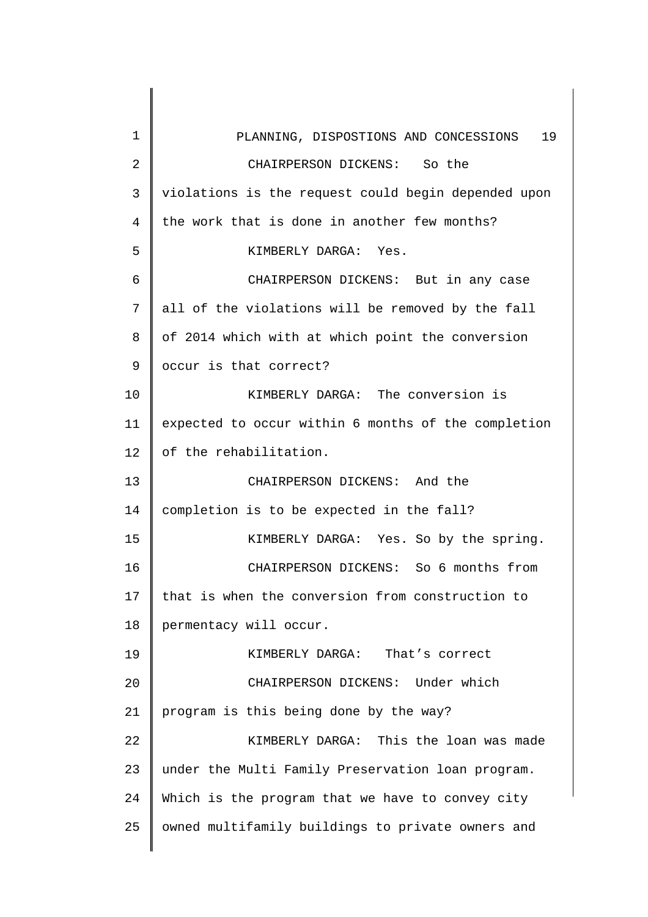1 2 3 4 5 6 7 8 9 10 11 12 13 14 15 16 17 18 19 20 21 22 23 24 25 PLANNING, DISPOSTIONS AND CONCESSIONS 19 CHAIRPERSON DICKENS: So the violations is the request could begin depended upon the work that is done in another few months? KIMBERLY DARGA: Yes. CHAIRPERSON DICKENS: But in any case all of the violations will be removed by the fall of 2014 which with at which point the conversion occur is that correct? KIMBERLY DARGA: The conversion is expected to occur within 6 months of the completion of the rehabilitation. CHAIRPERSON DICKENS: And the completion is to be expected in the fall? KIMBERLY DARGA: Yes. So by the spring. CHAIRPERSON DICKENS: So 6 months from that is when the conversion from construction to permentacy will occur. KIMBERLY DARGA: That's correct CHAIRPERSON DICKENS: Under which program is this being done by the way? KIMBERLY DARGA: This the loan was made under the Multi Family Preservation loan program. Which is the program that we have to convey city owned multifamily buildings to private owners and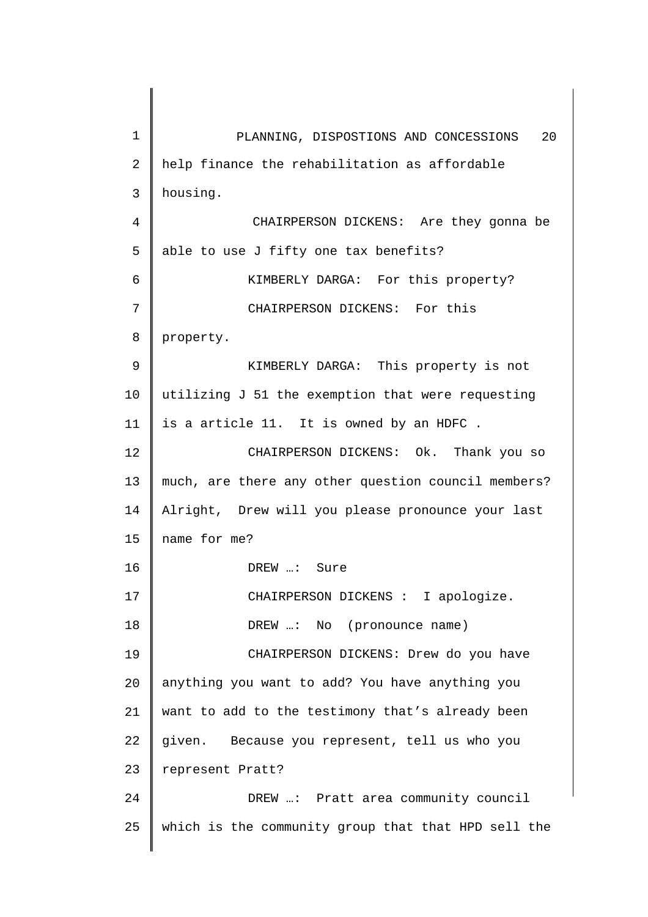1 2 3 4 5 6 7 8 9 10 11 12 13 14 15 16 17 18 19 20 21 22 23 24 25 PLANNING, DISPOSTIONS AND CONCESSIONS 20 help finance the rehabilitation as affordable housing. CHAIRPERSON DICKENS: Are they gonna be able to use J fifty one tax benefits? KIMBERLY DARGA: For this property? CHAIRPERSON DICKENS: For this property. KIMBERLY DARGA: This property is not utilizing J 51 the exemption that were requesting is a article 11. It is owned by an HDFC . CHAIRPERSON DICKENS: Ok. Thank you so much, are there any other question council members? Alright, Drew will you please pronounce your last name for me? DREW …: Sure CHAIRPERSON DICKENS : I apologize. DREW …: No (pronounce name) CHAIRPERSON DICKENS: Drew do you have anything you want to add? You have anything you want to add to the testimony that's already been given. Because you represent, tell us who you represent Pratt? DREW …: Pratt area community council which is the community group that that HPD sell the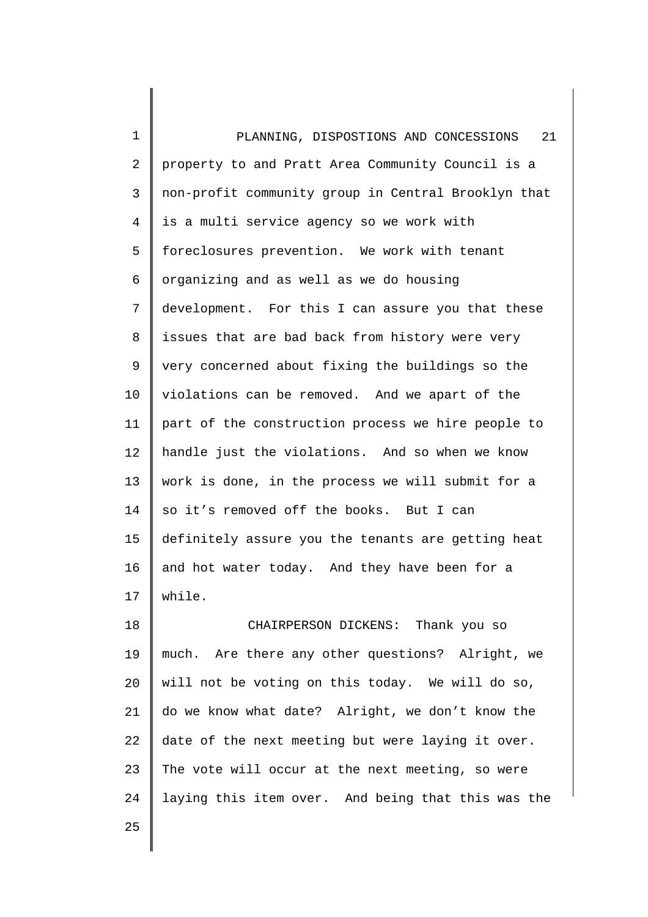1 2 3 4 5 6 7 8 9 10 11 12 13 14 15 16 17 PLANNING, DISPOSTIONS AND CONCESSIONS 21 property to and Pratt Area Community Council is a non-profit community group in Central Brooklyn that is a multi service agency so we work with foreclosures prevention. We work with tenant organizing and as well as we do housing development. For this I can assure you that these issues that are bad back from history were very very concerned about fixing the buildings so the violations can be removed. And we apart of the part of the construction process we hire people to handle just the violations. And so when we know work is done, in the process we will submit for a so it's removed off the books. But I can definitely assure you the tenants are getting heat and hot water today. And they have been for a while.

18 19 20 21 22 23 24 CHAIRPERSON DICKENS: Thank you so much. Are there any other questions? Alright, we will not be voting on this today. We will do so, do we know what date? Alright, we don't know the date of the next meeting but were laying it over. The vote will occur at the next meeting, so were laying this item over. And being that this was the

25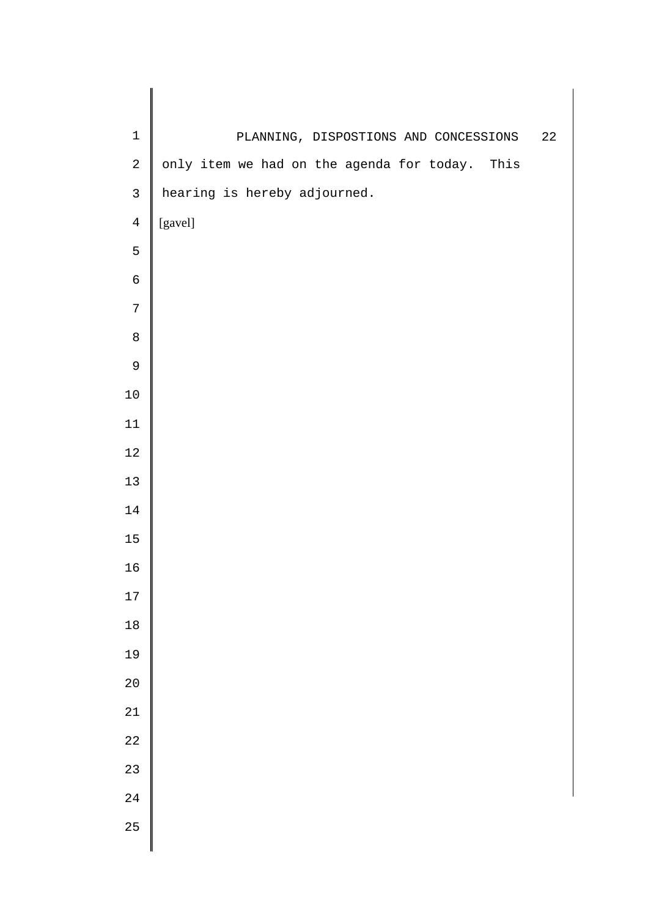| $\mathbf 1$    | PLANNING, DISPOSTIONS AND CONCESSIONS          | 22 |
|----------------|------------------------------------------------|----|
| $\sqrt{2}$     | only item we had on the agenda for today. This |    |
| $\mathsf{3}$   | hearing is hereby adjourned.                   |    |
| $\overline{4}$ | [gavel]                                        |    |
| 5              |                                                |    |
| $\epsilon$     |                                                |    |
| $\sqrt{ }$     |                                                |    |
| $\,8\,$        |                                                |    |
| 9              |                                                |    |
| 10             |                                                |    |
| $11\,$         |                                                |    |
| $12\,$         |                                                |    |
| 13             |                                                |    |
| $14\,$         |                                                |    |
| 15             |                                                |    |
| 16             |                                                |    |
| $17$           |                                                |    |
| $18\,$         |                                                |    |
| 19             |                                                |    |
| 20             |                                                |    |
| 21             |                                                |    |
| 22             |                                                |    |
| 23             |                                                |    |
| 24             |                                                |    |
| 25             |                                                |    |
|                |                                                |    |